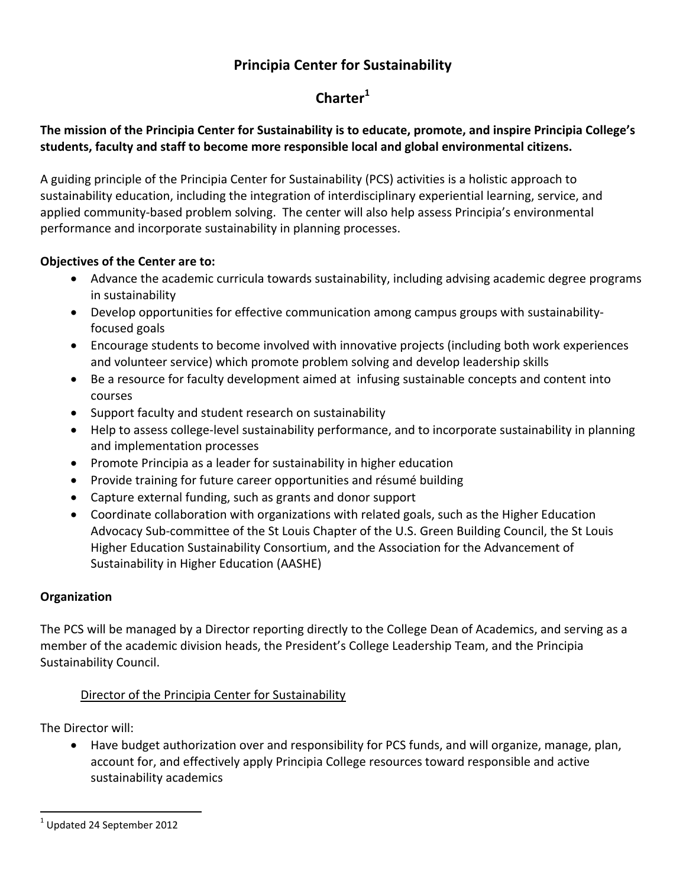## **Principia Center for Sustainability**

# **Charter<sup>1</sup>**

## **The mission of the Principia Center for Sustainability is to educate, promote, and inspire Principia College's students, faculty and staff to become more responsible local and global environmental citizens.**

A guiding principle of the Principia Center for Sustainability (PCS) activities is a holistic approach to sustainability education, including the integration of interdisciplinary experiential learning, service, and applied community‐based problem solving. The center will also help assess Principia's environmental performance and incorporate sustainability in planning processes.

### **Objectives of the Center are to:**

- Advance the academic curricula towards sustainability, including advising academic degree programs in sustainability
- Develop opportunities for effective communication among campus groups with sustainabilityfocused goals
- Encourage students to become involved with innovative projects (including both work experiences and volunteer service) which promote problem solving and develop leadership skills
- Be a resource for faculty development aimed at infusing sustainable concepts and content into courses
- Support faculty and student research on sustainability
- Help to assess college‐level sustainability performance, and to incorporate sustainability in planning and implementation processes
- Promote Principia as a leader for sustainability in higher education
- Provide training for future career opportunities and résumé building
- Capture external funding, such as grants and donor support
- Coordinate collaboration with organizations with related goals, such as the Higher Education Advocacy Sub‐committee of the St Louis Chapter of the U.S. Green Building Council, the St Louis Higher Education Sustainability Consortium, and the Association for the Advancement of Sustainability in Higher Education (AASHE)

### **Organization**

The PCS will be managed by a Director reporting directly to the College Dean of Academics, and serving as a member of the academic division heads, the President's College Leadership Team, and the Principia Sustainability Council.

### Director of the Principia Center for Sustainability

The Director will:

 Have budget authorization over and responsibility for PCS funds, and will organize, manage, plan, account for, and effectively apply Principia College resources toward responsible and active sustainability academics

 $<sup>1</sup>$  Updated 24 September 2012</sup>